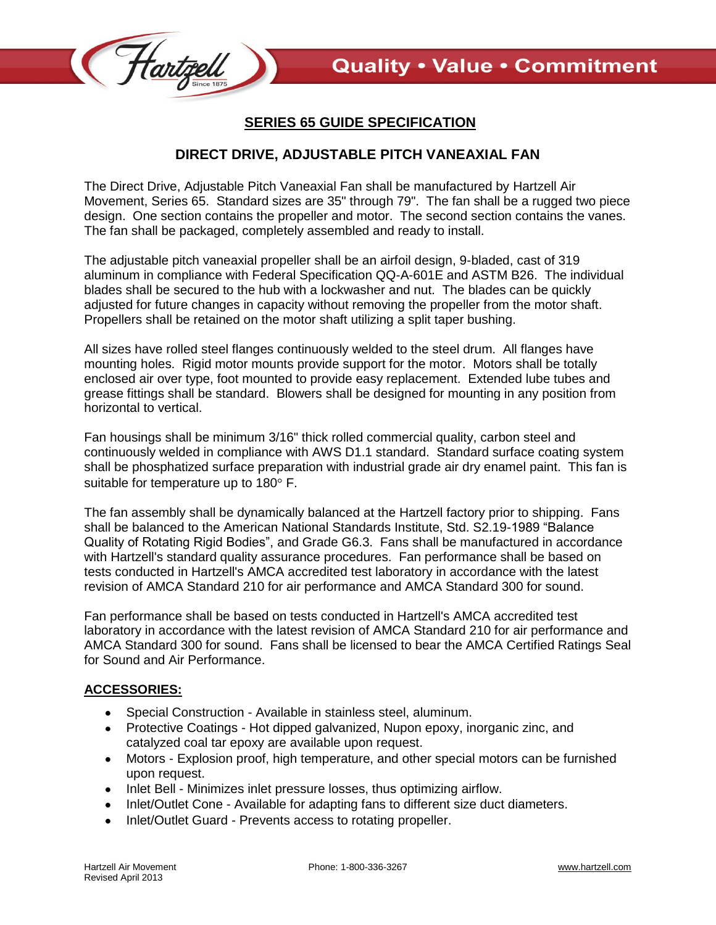

## **SERIES 65 GUIDE SPECIFICATION**

## **DIRECT DRIVE, ADJUSTABLE PITCH VANEAXIAL FAN**

The Direct Drive, Adjustable Pitch Vaneaxial Fan shall be manufactured by Hartzell Air Movement, Series 65. Standard sizes are 35" through 79". The fan shall be a rugged two piece design. One section contains the propeller and motor. The second section contains the vanes. The fan shall be packaged, completely assembled and ready to install.

The adjustable pitch vaneaxial propeller shall be an airfoil design, 9-bladed, cast of 319 aluminum in compliance with Federal Specification QQ-A-601E and ASTM B26. The individual blades shall be secured to the hub with a lockwasher and nut. The blades can be quickly adjusted for future changes in capacity without removing the propeller from the motor shaft. Propellers shall be retained on the motor shaft utilizing a split taper bushing.

All sizes have rolled steel flanges continuously welded to the steel drum. All flanges have mounting holes. Rigid motor mounts provide support for the motor. Motors shall be totally enclosed air over type, foot mounted to provide easy replacement. Extended lube tubes and grease fittings shall be standard. Blowers shall be designed for mounting in any position from horizontal to vertical.

Fan housings shall be minimum 3/16" thick rolled commercial quality, carbon steel and continuously welded in compliance with AWS D1.1 standard. Standard surface coating system shall be phosphatized surface preparation with industrial grade air dry enamel paint. This fan is suitable for temperature up to  $180^\circ$  F.

The fan assembly shall be dynamically balanced at the Hartzell factory prior to shipping. Fans shall be balanced to the American National Standards Institute, Std. S2.19-1989 "Balance Quality of Rotating Rigid Bodies", and Grade G6.3. Fans shall be manufactured in accordance with Hartzell's standard quality assurance procedures. Fan performance shall be based on tests conducted in Hartzell's AMCA accredited test laboratory in accordance with the latest revision of AMCA Standard 210 for air performance and AMCA Standard 300 for sound.

Fan performance shall be based on tests conducted in Hartzell's AMCA accredited test laboratory in accordance with the latest revision of AMCA Standard 210 for air performance and AMCA Standard 300 for sound. Fans shall be licensed to bear the AMCA Certified Ratings Seal for Sound and Air Performance.

## **ACCESSORIES:**

- Special Construction Available in stainless steel, aluminum.
- Protective Coatings Hot dipped galvanized, Nupon epoxy, inorganic zinc, and catalyzed coal tar epoxy are available upon request.
- Motors Explosion proof, high temperature, and other special motors can be furnished upon request.
- Inlet Bell Minimizes inlet pressure losses, thus optimizing airflow.
- Inlet/Outlet Cone Available for adapting fans to different size duct diameters.
- Inlet/Outlet Guard Prevents access to rotating propeller.